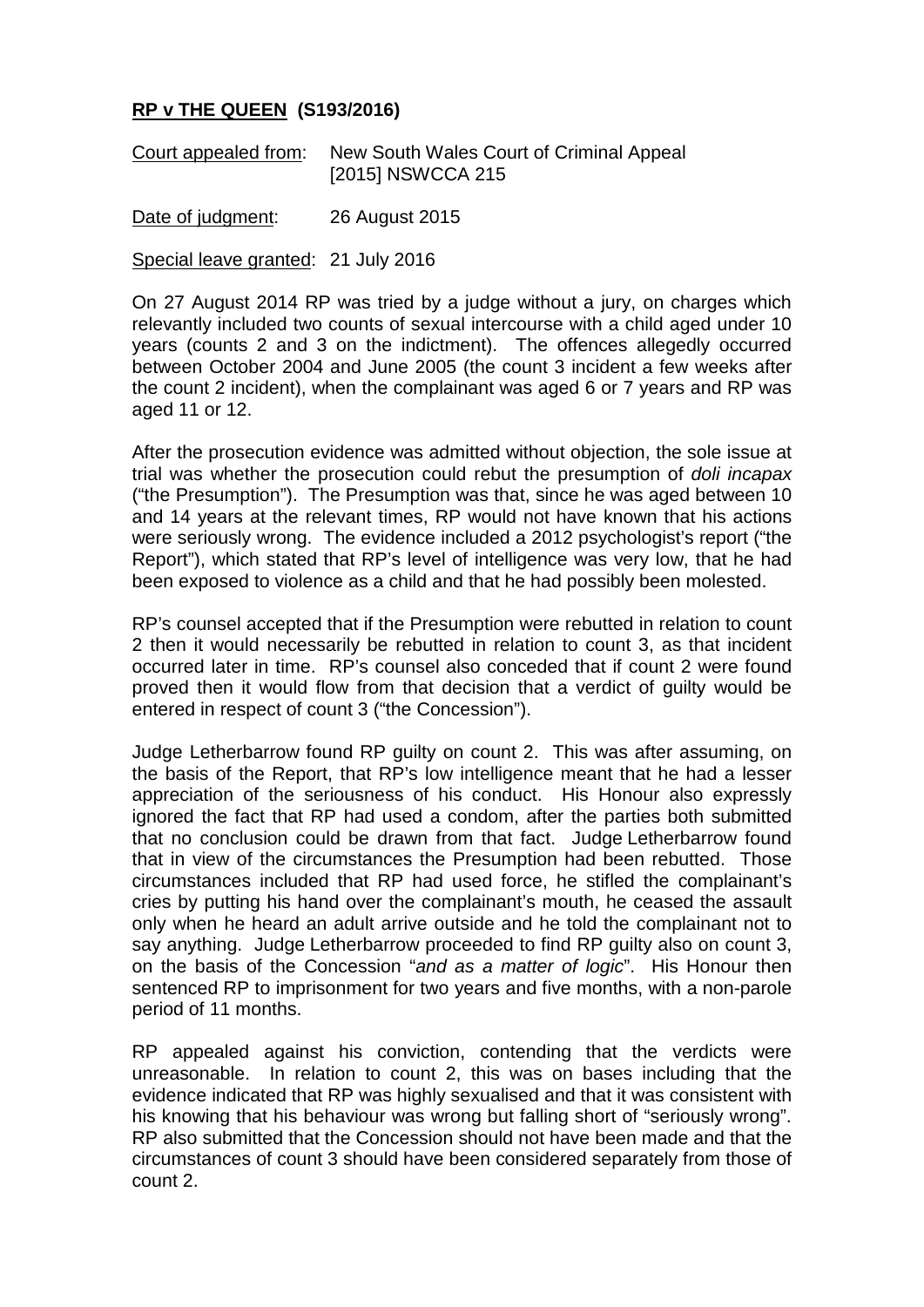## **RP v THE QUEEN (S193/2016)**

Court appealed from: New South Wales Court of Criminal Appeal [2015] NSWCCA 215

Date of judgment: 26 August 2015

Special leave granted: 21 July 2016

On 27 August 2014 RP was tried by a judge without a jury, on charges which relevantly included two counts of sexual intercourse with a child aged under 10 years (counts 2 and 3 on the indictment). The offences allegedly occurred between October 2004 and June 2005 (the count 3 incident a few weeks after the count 2 incident), when the complainant was aged 6 or 7 years and RP was aged 11 or 12.

After the prosecution evidence was admitted without objection, the sole issue at trial was whether the prosecution could rebut the presumption of *doli incapax* ("the Presumption"). The Presumption was that, since he was aged between 10 and 14 years at the relevant times, RP would not have known that his actions were seriously wrong. The evidence included a 2012 psychologist's report ("the Report"), which stated that RP's level of intelligence was very low, that he had been exposed to violence as a child and that he had possibly been molested.

RP's counsel accepted that if the Presumption were rebutted in relation to count 2 then it would necessarily be rebutted in relation to count 3, as that incident occurred later in time. RP's counsel also conceded that if count 2 were found proved then it would flow from that decision that a verdict of guilty would be entered in respect of count 3 ("the Concession").

Judge Letherbarrow found RP guilty on count 2. This was after assuming, on the basis of the Report, that RP's low intelligence meant that he had a lesser appreciation of the seriousness of his conduct. His Honour also expressly ignored the fact that RP had used a condom, after the parties both submitted that no conclusion could be drawn from that fact. Judge Letherbarrow found that in view of the circumstances the Presumption had been rebutted. Those circumstances included that RP had used force, he stifled the complainant's cries by putting his hand over the complainant's mouth, he ceased the assault only when he heard an adult arrive outside and he told the complainant not to say anything. Judge Letherbarrow proceeded to find RP guilty also on count 3, on the basis of the Concession "*and as a matter of logic*". His Honour then sentenced RP to imprisonment for two years and five months, with a non-parole period of 11 months.

RP appealed against his conviction, contending that the verdicts were unreasonable. In relation to count 2, this was on bases including that the evidence indicated that RP was highly sexualised and that it was consistent with his knowing that his behaviour was wrong but falling short of "seriously wrong". RP also submitted that the Concession should not have been made and that the circumstances of count 3 should have been considered separately from those of count 2.